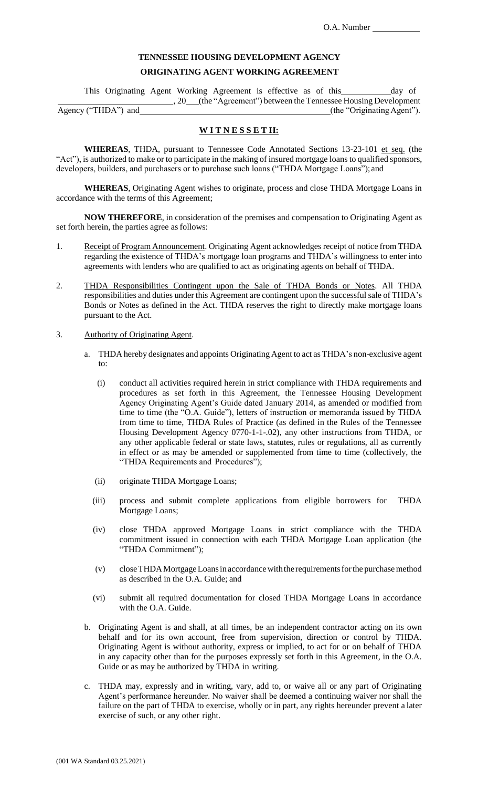## **TENNESSEE HOUSING DEVELOPMENT AGENCY**

## **ORIGINATING AGENT WORKING AGREEMENT**

This Originating Agent Working Agreement is effective as of this \_\_\_\_\_\_\_\_ day of , 20 (the "Agreement") between the Tennessee Housing Development Agency ("THDA") and (the "Originating Agent").

**W I T N E S S E T H:**

**WHEREAS**, THDA, pursuant to Tennessee Code Annotated Sections 13-23-101 et seq. (the "Act"), is authorized to make or to participate in the making of insured mortgage loans to qualified sponsors, developers, builders, and purchasers or to purchase such loans ("THDA Mortgage Loans"); and

**WHEREAS**, Originating Agent wishes to originate, process and close THDA Mortgage Loans in accordance with the terms of this Agreement;

**NOW THEREFORE**, in consideration of the premises and compensation to Originating Agent as set forth herein, the parties agree as follows:

- 1. Receipt of Program Announcement. Originating Agent acknowledges receipt of notice from THDA regarding the existence of THDA's mortgage loan programs and THDA's willingness to enter into agreements with lenders who are qualified to act as originating agents on behalf of THDA.
- 2. THDA Responsibilities Contingent upon the Sale of THDA Bonds or Notes. All THDA responsibilities and duties under this Agreement are contingent upon the successfulsale of THDA's Bonds or Notes as defined in the Act. THDA reserves the right to directly make mortgage loans pursuant to the Act.
- 3. Authority of Originating Agent.
	- a. THDA hereby designates and appoints Originating Agent to act as THDA's non-exclusive agent to:
		- (i) conduct all activities required herein in strict compliance with THDA requirements and procedures as set forth in this Agreement, the Tennessee Housing Development Agency Originating Agent's Guide dated January 2014, as amended or modified from time to time (the "O.A. Guide"), letters of instruction or memoranda issued by THDA from time to time, THDA Rules of Practice (as defined in the Rules of the Tennessee Housing Development Agency 0770-1-1-.02), any other instructions from THDA, or any other applicable federal or state laws, statutes, rules or regulations, all as currently in effect or as may be amended or supplemented from time to time (collectively, the "THDA Requirements and Procedures");
		- (ii) originate THDA Mortgage Loans;
		- (iii) process and submit complete applications from eligible borrowers for THDA Mortgage Loans;
		- (iv) close THDA approved Mortgage Loans in strict compliance with the THDA commitment issued in connection with each THDA Mortgage Loan application (the "THDA Commitment");
		- (v) closeTHDAMortgageLoansinaccordancewiththe requirementsforthe purchase method as described in the O.A. Guide; and
		- (vi) submit all required documentation for closed THDA Mortgage Loans in accordance with the O.A. Guide.
	- b. Originating Agent is and shall, at all times, be an independent contractor acting on its own behalf and for its own account, free from supervision, direction or control by THDA. Originating Agent is without authority, express or implied, to act for or on behalf of THDA in any capacity other than for the purposes expressly set forth in this Agreement, in the O.A. Guide or as may be authorized by THDA in writing.
	- c. THDA may, expressly and in writing, vary, add to, or waive all or any part of Originating Agent's performance hereunder. No waiver shall be deemed a continuing waiver nor shall the failure on the part of THDA to exercise, wholly or in part, any rights hereunder prevent a later exercise of such, or any other right.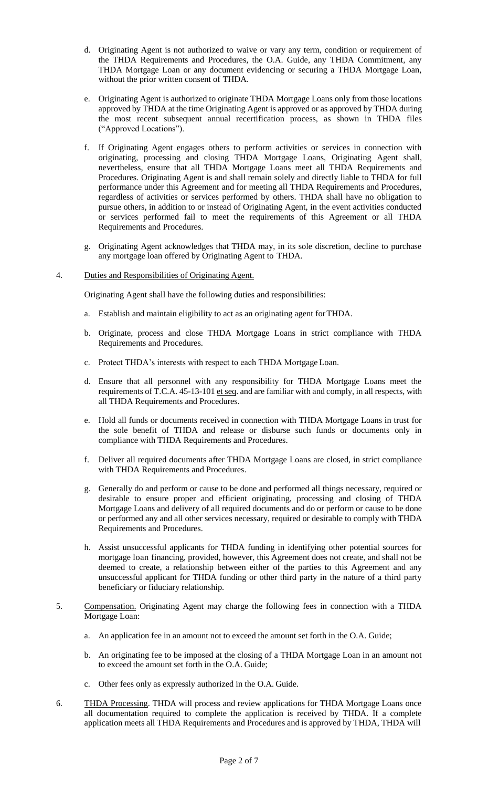- d. Originating Agent is not authorized to waive or vary any term, condition or requirement of the THDA Requirements and Procedures, the O.A. Guide, any THDA Commitment, any THDA Mortgage Loan or any document evidencing or securing a THDA Mortgage Loan, without the prior written consent of THDA.
- e. Originating Agent is authorized to originate THDA Mortgage Loans only from those locations approved by THDA at the time Originating Agent is approved or as approved by THDA during the most recent subsequent annual recertification process, as shown in THDA files ("Approved Locations").
- f. If Originating Agent engages others to perform activities or services in connection with originating, processing and closing THDA Mortgage Loans, Originating Agent shall, nevertheless, ensure that all THDA Mortgage Loans meet all THDA Requirements and Procedures. Originating Agent is and shall remain solely and directly liable to THDA for full performance under this Agreement and for meeting all THDA Requirements and Procedures, regardless of activities or services performed by others. THDA shall have no obligation to pursue others, in addition to or instead of Originating Agent, in the event activities conducted or services performed fail to meet the requirements of this Agreement or all THDA Requirements and Procedures.
- g. Originating Agent acknowledges that THDA may, in its sole discretion, decline to purchase any mortgage loan offered by Originating Agent to THDA.

## 4. Duties and Responsibilities of Originating Agent.

Originating Agent shall have the following duties and responsibilities:

- a. Establish and maintain eligibility to act as an originating agent forTHDA.
- b. Originate, process and close THDA Mortgage Loans in strict compliance with THDA Requirements and Procedures.
- c. Protect THDA's interests with respect to each THDA Mortgage Loan.
- d. Ensure that all personnel with any responsibility for THDA Mortgage Loans meet the requirements of T.C.A. 45-13-101 et seq. and are familiar with and comply, in all respects, with all THDA Requirements and Procedures.
- e. Hold all funds or documents received in connection with THDA Mortgage Loans in trust for the sole benefit of THDA and release or disburse such funds or documents only in compliance with THDA Requirements and Procedures.
- f. Deliver all required documents after THDA Mortgage Loans are closed, in strict compliance with THDA Requirements and Procedures.
- g. Generally do and perform or cause to be done and performed all things necessary, required or desirable to ensure proper and efficient originating, processing and closing of THDA Mortgage Loans and delivery of all required documents and do or perform or cause to be done or performed any and all other services necessary, required or desirable to comply with THDA Requirements and Procedures.
- h. Assist unsuccessful applicants for THDA funding in identifying other potential sources for mortgage loan financing, provided, however, this Agreement does not create, and shall not be deemed to create, a relationship between either of the parties to this Agreement and any unsuccessful applicant for THDA funding or other third party in the nature of a third party beneficiary or fiduciary relationship.
- 5. Compensation. Originating Agent may charge the following fees in connection with a THDA Mortgage Loan:
	- a. An application fee in an amount not to exceed the amount set forth in the O.A. Guide;
	- b. An originating fee to be imposed at the closing of a THDA Mortgage Loan in an amount not to exceed the amount set forth in the O.A. Guide;
	- c. Other fees only as expressly authorized in the O.A. Guide.
- 6. THDA Processing. THDA will process and review applications for THDA Mortgage Loans once all documentation required to complete the application is received by THDA. If a complete application meets all THDA Requirements and Procedures and is approved by THDA, THDA will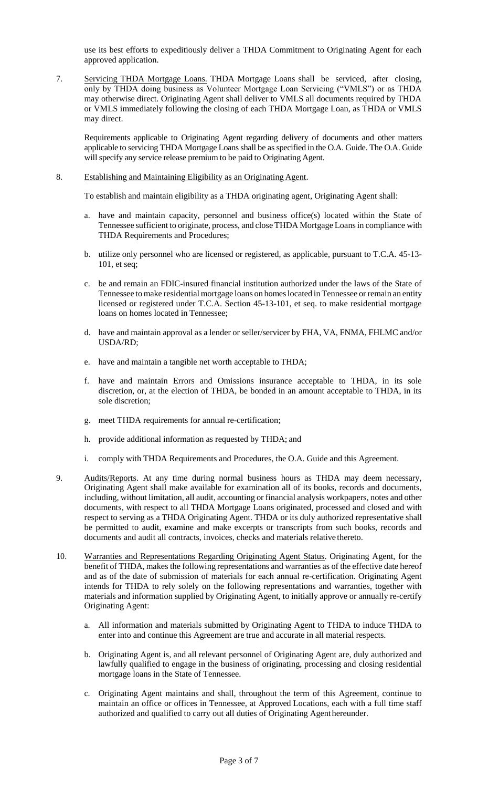use its best efforts to expeditiously deliver a THDA Commitment to Originating Agent for each approved application.

7. Servicing THDA Mortgage Loans. THDA Mortgage Loans shall be serviced, after closing, only by THDA doing business as Volunteer Mortgage Loan Servicing ("VMLS") or as THDA may otherwise direct. Originating Agent shall deliver to VMLS all documents required by THDA or VMLS immediately following the closing of each THDA Mortgage Loan, as THDA or VMLS may direct.

Requirements applicable to Originating Agent regarding delivery of documents and other matters applicable to servicing THDA Mortgage Loans shall be as specified in the O.A. Guide. The O.A. Guide will specify any service release premium to be paid to Originating Agent.

8. Establishing and Maintaining Eligibility as an Originating Agent.

To establish and maintain eligibility as a THDA originating agent, Originating Agent shall:

- a. have and maintain capacity, personnel and business office(s) located within the State of Tennessee sufficient to originate, process, and close THDA Mortgage Loansin compliance with THDA Requirements and Procedures;
- b. utilize only personnel who are licensed or registered, as applicable, pursuant to T.C.A. 45-13- 101, et seq;
- c. be and remain an FDIC-insured financial institution authorized under the laws of the State of Tennessee tomake residential mortgage loans on homeslocated inTennessee or remain an entity licensed or registered under T.C.A. Section 45-13-101, et seq. to make residential mortgage loans on homes located in Tennessee;
- d. have and maintain approval as a lender or seller/servicer by FHA, VA, FNMA, FHLMC and/or USDA/RD;
- e. have and maintain a tangible net worth acceptable to THDA;
- f. have and maintain Errors and Omissions insurance acceptable to THDA, in its sole discretion, or, at the election of THDA, be bonded in an amount acceptable to THDA, in its sole discretion;
- g. meet THDA requirements for annual re-certification;
- h. provide additional information as requested by THDA; and
- i. comply with THDA Requirements and Procedures, the O.A. Guide and this Agreement.
- 9. Audits/Reports. At any time during normal business hours as THDA may deem necessary, Originating Agent shall make available for examination all of its books, records and documents, including, without limitation, all audit, accounting or financial analysis workpapers, notes and other documents, with respect to all THDA Mortgage Loans originated, processed and closed and with respect to serving as a THDA Originating Agent. THDA or its duly authorized representative shall be permitted to audit, examine and make excerpts or transcripts from such books, records and documents and audit all contracts, invoices, checks and materials relative thereto.
- 10. Warranties and Representations Regarding Originating Agent Status. Originating Agent, for the benefit of THDA, makes the following representations and warranties as of the effective date hereof and as of the date of submission of materials for each annual re-certification. Originating Agent intends for THDA to rely solely on the following representations and warranties, together with materials and information supplied by Originating Agent, to initially approve or annually re-certify Originating Agent:
	- a. All information and materials submitted by Originating Agent to THDA to induce THDA to enter into and continue this Agreement are true and accurate in all material respects.
	- b. Originating Agent is, and all relevant personnel of Originating Agent are, duly authorized and lawfully qualified to engage in the business of originating, processing and closing residential mortgage loans in the State of Tennessee.
	- c. Originating Agent maintains and shall, throughout the term of this Agreement, continue to maintain an office or offices in Tennessee, at Approved Locations, each with a full time staff authorized and qualified to carry out all duties of Originating Agenthereunder.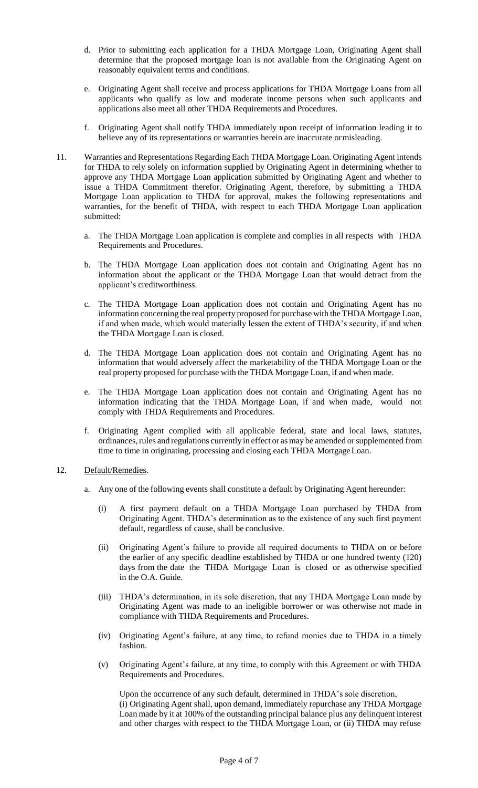- d. Prior to submitting each application for a THDA Mortgage Loan, Originating Agent shall determine that the proposed mortgage loan is not available from the Originating Agent on reasonably equivalent terms and conditions.
- e. Originating Agent shall receive and process applications for THDA Mortgage Loans from all applicants who qualify as low and moderate income persons when such applicants and applications also meet all other THDA Requirements and Procedures.
- f. Originating Agent shall notify THDA immediately upon receipt of information leading it to believe any of its representations or warranties herein are inaccurate ormisleading.
- 11. Warranties and Representations Regarding Each THDA Mortgage Loan. Originating Agent intends for THDA to rely solely on information supplied by Originating Agent in determining whether to approve any THDA Mortgage Loan application submitted by Originating Agent and whether to issue a THDA Commitment therefor. Originating Agent, therefore, by submitting a THDA Mortgage Loan application to THDA for approval, makes the following representations and warranties, for the benefit of THDA, with respect to each THDA Mortgage Loan application submitted:
	- a. The THDA Mortgage Loan application is complete and complies in all respects with THDA Requirements and Procedures.
	- b. The THDA Mortgage Loan application does not contain and Originating Agent has no information about the applicant or the THDA Mortgage Loan that would detract from the applicant's creditworthiness.
	- c. The THDA Mortgage Loan application does not contain and Originating Agent has no information concerning the real property proposed for purchase with the THDA Mortgage Loan, if and when made, which would materially lessen the extent of THDA's security, if and when the THDA Mortgage Loan is closed.
	- d. The THDA Mortgage Loan application does not contain and Originating Agent has no information that would adversely affect the marketability of the THDA Mortgage Loan or the real property proposed for purchase with the THDA Mortgage Loan, if and when made.
	- e. The THDA Mortgage Loan application does not contain and Originating Agent has no information indicating that the THDA Mortgage Loan, if and when made, would not comply with THDA Requirements and Procedures.
	- f. Originating Agent complied with all applicable federal, state and local laws, statutes, ordinances, rules and regulations currently in effect or as may be amended or supplemented from time to time in originating, processing and closing each THDA MortgageLoan.
- 12. Default/Remedies.
	- a. Any one of the following events shall constitute a default by Originating Agent hereunder:
		- (i) A first payment default on a THDA Mortgage Loan purchased by THDA from Originating Agent. THDA's determination as to the existence of any such first payment default, regardless of cause, shall be conclusive.
		- (ii) Originating Agent's failure to provide all required documents to THDA on or before the earlier of any specific deadline established by THDA or one hundred twenty (120) days from the date the THDA Mortgage Loan is closed or as otherwise specified in the O.A. Guide.
		- (iii) THDA's determination, in its sole discretion, that any THDA Mortgage Loan made by Originating Agent was made to an ineligible borrower or was otherwise not made in compliance with THDA Requirements and Procedures.
		- (iv) Originating Agent's failure, at any time, to refund monies due to THDA in a timely fashion.
		- (v) Originating Agent's failure, at any time, to comply with this Agreement or with THDA Requirements and Procedures.

Upon the occurrence of any such default, determined in THDA's sole discretion, (i) Originating Agent shall, upon demand, immediately repurchase any THDA Mortgage Loan made by it at 100% of the outstanding principal balance plus any delinquent interest and other charges with respect to the THDA Mortgage Loan, or (ii) THDA may refuse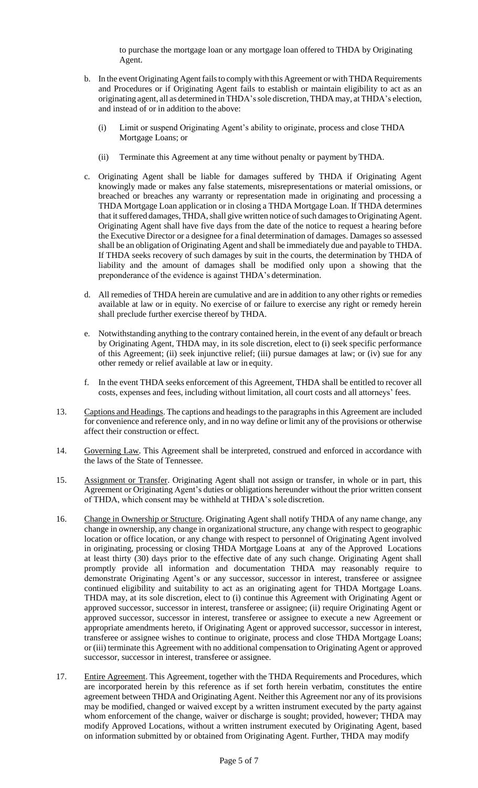to purchase the mortgage loan or any mortgage loan offered to THDA by Originating Agent.

- b. In the event Originating Agent fails to comply with this Agreement or with THDA Requirements and Procedures or if Originating Agent fails to establish or maintain eligibility to act as an originating agent, all as determined inTHDA'ssole discretion,THDA may, at THDA's election, and instead of or in addition to the above:
	- (i) Limit or suspend Originating Agent's ability to originate, process and close THDA Mortgage Loans; or
	- (ii) Terminate this Agreement at any time without penalty or payment byTHDA.
- c. Originating Agent shall be liable for damages suffered by THDA if Originating Agent knowingly made or makes any false statements, misrepresentations or material omissions, or breached or breaches any warranty or representation made in originating and processing a THDA Mortgage Loan application or in closing a THDA Mortgage Loan. If THDA determines that it suffered damages, THDA, shall give written notice of such damages to Originating Agent. Originating Agent shall have five days from the date of the notice to request a hearing before the Executive Director or a designee for a final determination of damages. Damages so assessed shall be an obligation of Originating Agent and shall be immediately due and payable to THDA. If THDA seeks recovery of such damages by suit in the courts, the determination by THDA of liability and the amount of damages shall be modified only upon a showing that the preponderance of the evidence is against THDA's determination.
- d. All remedies of THDA herein are cumulative and are in addition to any other rights or remedies available at law or in equity. No exercise of or failure to exercise any right or remedy herein shall preclude further exercise thereof by THDA.
- e. Notwithstanding anything to the contrary contained herein, in the event of any default or breach by Originating Agent, THDA may, in its sole discretion, elect to (i) seek specific performance of this Agreement; (ii) seek injunctive relief; (iii) pursue damages at law; or (iv) sue for any other remedy or relief available at law or in equity.
- f. In the event THDA seeks enforcement of this Agreement, THDA shall be entitled to recover all costs, expenses and fees, including without limitation, all court costs and all attorneys' fees.
- 13. Captions and Headings. The captions and headings to the paragraphs in this Agreement are included for convenience and reference only, and in no way define or limit any of the provisions or otherwise affect their construction or effect.
- 14. Governing Law. This Agreement shall be interpreted, construed and enforced in accordance with the laws of the State of Tennessee.
- 15. Assignment or Transfer. Originating Agent shall not assign or transfer, in whole or in part, this Agreement or Originating Agent's duties or obligations hereunder without the prior written consent of THDA, which consent may be withheld at THDA's sole discretion.
- 16. Change in Ownership or Structure. Originating Agent shall notify THDA of any name change, any change in ownership, any change in organizational structure, any change with respect to geographic location or office location, or any change with respect to personnel of Originating Agent involved in originating, processing or closing THDA Mortgage Loans at any of the Approved Locations at least thirty (30) days prior to the effective date of any such change. Originating Agent shall promptly provide all information and documentation THDA may reasonably require to demonstrate Originating Agent's or any successor, successor in interest, transferee or assignee continued eligibility and suitability to act as an originating agent for THDA Mortgage Loans. THDA may, at its sole discretion, elect to (i) continue this Agreement with Originating Agent or approved successor, successor in interest, transferee or assignee; (ii) require Originating Agent or approved successor, successor in interest, transferee or assignee to execute a new Agreement or appropriate amendments hereto, if Originating Agent or approved successor, successor in interest, transferee or assignee wishes to continue to originate, process and close THDA Mortgage Loans; or (iii) terminate this Agreement with no additional compensation to Originating Agent or approved successor, successor in interest, transferee or assignee.
- 17. Entire Agreement. This Agreement, together with the THDA Requirements and Procedures, which are incorporated herein by this reference as if set forth herein verbatim, constitutes the entire agreement between THDA and Originating Agent. Neither this Agreement nor any of its provisions may be modified, changed or waived except by a written instrument executed by the party against whom enforcement of the change, waiver or discharge is sought; provided, however; THDA may modify Approved Locations, without a written instrument executed by Originating Agent, based on information submitted by or obtained from Originating Agent. Further, THDA may modify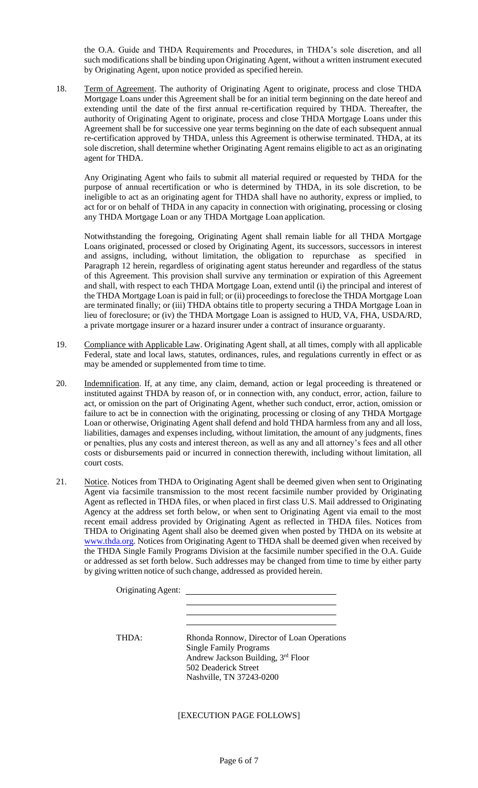the O.A. Guide and THDA Requirements and Procedures, in THDA's sole discretion, and all such modifications shall be binding upon Originating Agent, without a written instrument executed by Originating Agent, upon notice provided as specified herein.

18. Term of Agreement. The authority of Originating Agent to originate, process and close THDA Mortgage Loans under this Agreement shall be for an initial term beginning on the date hereof and extending until the date of the first annual re-certification required by THDA. Thereafter, the authority of Originating Agent to originate, process and close THDA Mortgage Loans under this Agreement shall be for successive one year terms beginning on the date of each subsequent annual re-certification approved by THDA, unless this Agreement is otherwise terminated. THDA, at its sole discretion, shall determine whether Originating Agent remains eligible to act as an originating agent for THDA.

Any Originating Agent who fails to submit all material required or requested by THDA for the purpose of annual recertification or who is determined by THDA, in its sole discretion, to be ineligible to act as an originating agent for THDA shall have no authority, express or implied, to act for or on behalf of THDA in any capacity in connection with originating, processing or closing any THDA Mortgage Loan or any THDA Mortgage Loan application.

Notwithstanding the foregoing, Originating Agent shall remain liable for all THDA Mortgage Loans originated, processed or closed by Originating Agent, its successors, successors in interest and assigns, including, without limitation, the obligation to repurchase as specified in Paragraph 12 herein, regardless of originating agent status hereunder and regardless of the status of this Agreement. This provision shall survive any termination or expiration of this Agreement and shall, with respect to each THDA Mortgage Loan, extend until (i) the principal and interest of the THDA Mortgage Loan is paid in full; or (ii) proceedings to foreclose the THDA Mortgage Loan are terminated finally; or (iii) THDA obtains title to property securing a THDA Mortgage Loan in lieu of foreclosure; or (iv) the THDA Mortgage Loan is assigned to HUD, VA, FHA, USDA/RD, a private mortgage insurer or a hazard insurer under a contract of insurance orguaranty.

- 19. Compliance with Applicable Law. Originating Agent shall, at all times, comply with all applicable Federal, state and local laws, statutes, ordinances, rules, and regulations currently in effect or as may be amended or supplemented from time to time.
- 20. Indemnification. If, at any time, any claim, demand, action or legal proceeding is threatened or instituted against THDA by reason of, or in connection with, any conduct, error, action, failure to act, or omission on the part of Originating Agent, whether such conduct, error, action, omission or failure to act be in connection with the originating, processing or closing of any THDA Mortgage Loan or otherwise, Originating Agent shall defend and hold THDA harmless from any and all loss, liabilities, damages and expenses including, without limitation, the amount of any judgments, fines or penalties, plus any costs and interest thereon, as well as any and all attorney's fees and all other costs or disbursements paid or incurred in connection therewith, including without limitation, all court costs.
- 21. Notice. Notices from THDA to Originating Agent shall be deemed given when sent to Originating Agent via facsimile transmission to the most recent facsimile number provided by Originating Agent as reflected in THDA files, or when placed in first class U.S. Mail addressed to Originating Agency at the address set forth below, or when sent to Originating Agent via email to the most recent email address provided by Originating Agent as reflected in THDA files. Notices from THDA to Originating Agent shall also be deemed given when posted by THDA on its website at [www.thda.org.](http://www.thda.org/) Notices from Originating Agent to THDA shall be deemed given when received by the THDA Single Family Programs Division at the facsimile number specified in the O.A. Guide or addressed as set forth below. Such addresses may be changed from time to time by either party by giving written notice of such change, addressed as provided herein.

| Originating Agent: |                                                                                                                                                                       |
|--------------------|-----------------------------------------------------------------------------------------------------------------------------------------------------------------------|
|                    |                                                                                                                                                                       |
| <b>THDA</b> ·      | Rhonda Ronnow, Director of Loan Operations<br><b>Single Family Programs</b><br>Andrew Jackson Building, 3rd Floor<br>502 Deaderick Street<br>Nashville, TN 37243-0200 |

Page 6 of 7

[EXECUTION PAGE FOLLOWS]